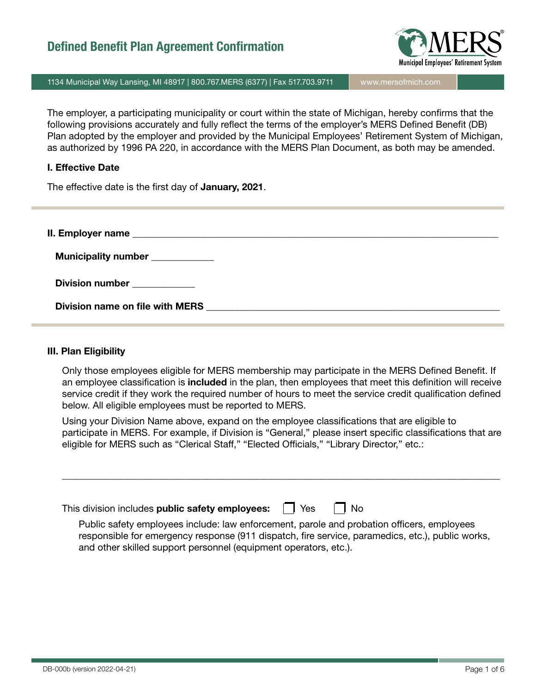

1134 Municipal Way Lansing, MI 48917 | 800.767.MERS (6377) | Fax 517.703.9711 | www.mersofmich.com

The employer, a participating municipality or court within the state of Michigan, hereby confirms that the following provisions accurately and fully reflect the terms of the employer's MERS Defined Benefit (DB) Plan adopted by the employer and provided by the Municipal Employees' Retirement System of Michigan, as authorized by 1996 PA 220, in accordance with the MERS Plan Document, as both may be amended.

#### I. Effective Date

The effective date is the first day of **January, 2021**.

| Municipality number ____________ |  |
|----------------------------------|--|
| Division number ___________      |  |
| Division name on file with MERS  |  |

#### III. Plan Eligibility

Only those employees eligible for MERS membership may participate in the MERS Defined Benefit. If an employee classification is **included** in the plan, then employees that meet this definition will receive service credit if they work the required number of hours to meet the service credit qualification defined below. All eligible employees must be reported to MERS.

Using your Division Name above, expand on the employee classifications that are eligible to participate in MERS. For example, if Division is "General," please insert specific classifications that are eligible for MERS such as "Clerical Staff," "Elected Officials," "Library Director," etc.:

| This division includes <b>public safety employees:</b> $\ $ <b>l</b> Yes                                                                                                                       | ∣ I No |
|------------------------------------------------------------------------------------------------------------------------------------------------------------------------------------------------|--------|
| Public safety employees include: law enforcement, parole and probation officers, employees<br>responsible for emergency response (911 dispatch, fire service, paramedics, etc.), public works, |        |

and other skilled support personnel (equipment operators, etc.).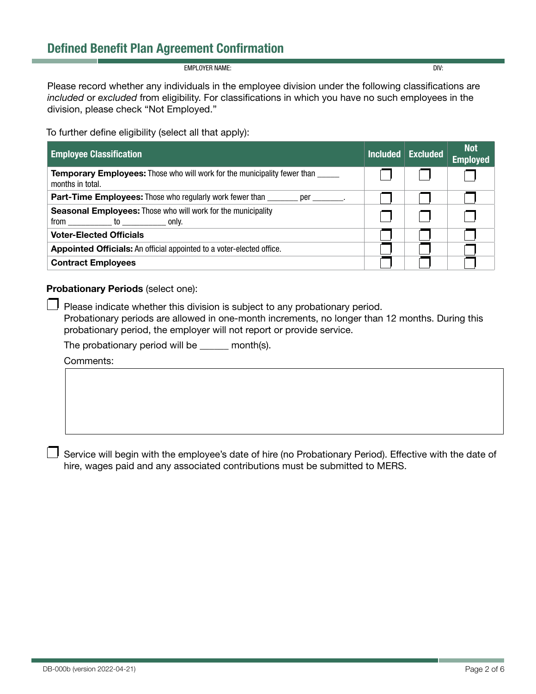EMPLOYER NAME: DIV:

Please record whether any individuals in the employee division under the following classifications are *included* or *excluded* from eligibility. For classifications in which you have no such employees in the division, please check "Not Employed."

To further define eligibility (select all that apply):

| <b>Employee Classification</b>                                                                      | Included <sub>1</sub> | <b>Excluded</b> | <b>Not</b><br><b>Employed</b> |
|-----------------------------------------------------------------------------------------------------|-----------------------|-----------------|-------------------------------|
| <b>Temporary Employees:</b> Those who will work for the municipality fewer than<br>months in total. |                       |                 |                               |
| <b>Part-Time Employees:</b> Those who regularly work fewer than _______<br>per .                    |                       |                 |                               |
| <b>Seasonal Employees:</b> Those who will work for the municipality                                 |                       |                 |                               |
| <b>Voter-Elected Officials</b>                                                                      |                       |                 |                               |
| Appointed Officials: An official appointed to a voter-elected office.                               |                       |                 |                               |
| <b>Contract Employees</b>                                                                           |                       |                 |                               |

### Probationary Periods (select one):

 $\Box$  Please indicate whether this division is subject to any probationary period. Probationary periods are allowed in one-month increments, no longer than 12 months. During this probationary period, the employer will not report or provide service.

The probationary period will be \_\_\_\_\_\_ month(s).

Comments:

Service will begin with the employee's date of hire (no Probationary Period). Effective with the date of hire, wages paid and any associated contributions must be submitted to MERS.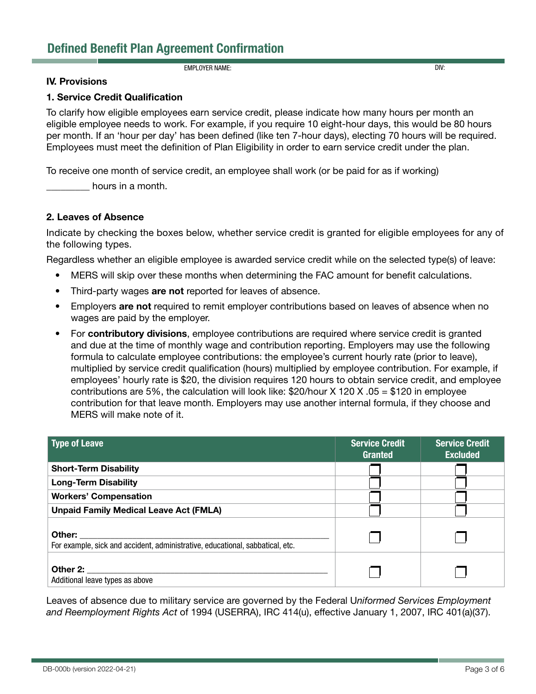**EMPLOYER NAME:** DIV:

#### IV. Provisions

#### 1. Service Credit Qualification

To clarify how eligible employees earn service credit, please indicate how many hours per month an eligible employee needs to work. For example, if you require 10 eight-hour days, this would be 80 hours per month. If an 'hour per day' has been defined (like ten 7-hour days), electing 70 hours will be required. Employees must meet the definition of Plan Eligibility in order to earn service credit under the plan.

To receive one month of service credit, an employee shall work (or be paid for as if working)

hours in a month.

#### 2. Leaves of Absence

Indicate by checking the boxes below, whether service credit is granted for eligible employees for any of the following types.

Regardless whether an eligible employee is awarded service credit while on the selected type(s) of leave:

- MERS will skip over these months when determining the FAC amount for benefit calculations.
- Third-party wages are not reported for leaves of absence.
- Employers are not required to remit employer contributions based on leaves of absence when no wages are paid by the employer.
- For contributory divisions, employee contributions are required where service credit is granted and due at the time of monthly wage and contribution reporting. Employers may use the following formula to calculate employee contributions: the employee's current hourly rate (prior to leave), multiplied by service credit qualification (hours) multiplied by employee contribution. For example, if employees' hourly rate is \$20, the division requires 120 hours to obtain service credit, and employee contributions are 5%, the calculation will look like:  $$20/hour X 120 X .05 = $120$  in employee contribution for that leave month. Employers may use another internal formula, if they choose and MERS will make note of it.

| Type of Leave                                                                           | <b>Service Credit</b><br>Granted | <b>Service Credit</b><br><b>Excluded</b> |
|-----------------------------------------------------------------------------------------|----------------------------------|------------------------------------------|
| <b>Short-Term Disability</b>                                                            |                                  |                                          |
| <b>Long-Term Disability</b>                                                             |                                  |                                          |
| <b>Workers' Compensation</b>                                                            |                                  |                                          |
| <b>Unpaid Family Medical Leave Act (FMLA)</b>                                           |                                  |                                          |
| Other:<br>For example, sick and accident, administrative, educational, sabbatical, etc. |                                  |                                          |
| Other 2:<br>Additional leave types as above                                             |                                  |                                          |

Leaves of absence due to military service are governed by the Federal U*niformed Services Employment and Reemployment Rights Act* of 1994 (USERRA), IRC 414(u), effective January 1, 2007, IRC 401(a)(37).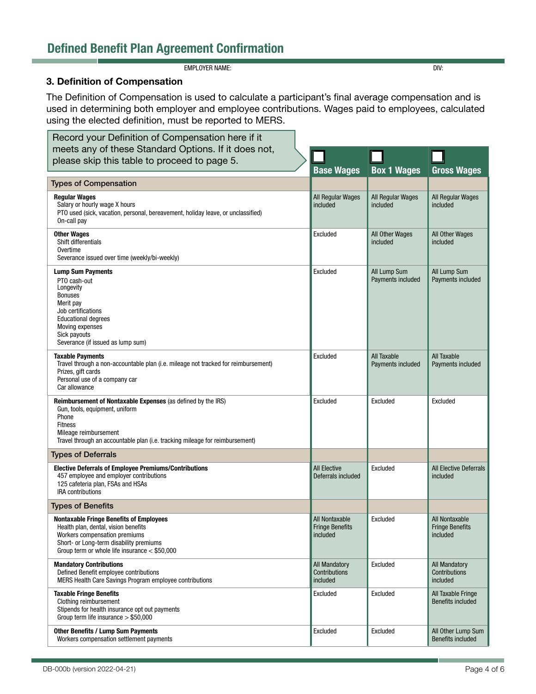# Defined Benefit Plan Agreement Confirmation

**EMPLOYER NAME:** DIV:

## 3. Definition of Compensation

The Definition of Compensation is used to calculate a participant's final average compensation and is used in determining both employer and employee contributions. Wages paid to employees, calculated using the elected definition, must be reported to MERS.

| Record your Definition of Compensation here if it                                                                                                                                                                                         |                                                      |                                    |                                                      |
|-------------------------------------------------------------------------------------------------------------------------------------------------------------------------------------------------------------------------------------------|------------------------------------------------------|------------------------------------|------------------------------------------------------|
| meets any of these Standard Options. If it does not,                                                                                                                                                                                      |                                                      |                                    |                                                      |
| please skip this table to proceed to page 5.                                                                                                                                                                                              | <b>Base Wages</b>                                    | <b>Box 1 Wages</b>                 | <b>Gross Wages</b>                                   |
| <b>Types of Compensation</b>                                                                                                                                                                                                              |                                                      |                                    |                                                      |
| <b>Regular Wages</b><br>Salary or hourly wage X hours<br>PTO used (sick, vacation, personal, bereavement, holiday leave, or unclassified)<br>On-call pay                                                                                  | All Regular Wages<br>included                        | All Regular Wages<br>included      | All Regular Wages<br>included                        |
| <b>Other Wages</b><br>Shift differentials<br>Overtime<br>Severance issued over time (weekly/bi-weekly)                                                                                                                                    | Excluded                                             | <b>All Other Wages</b><br>included | All Other Wages<br>included                          |
| <b>Lump Sum Payments</b><br>PTO cash-out<br>Longevity<br><b>Bonuses</b><br>Merit pay<br>Job certifications<br><b>Educational degrees</b><br>Moving expenses<br>Sick payouts<br>Severance (if issued as lump sum)                          | Excluded                                             | All Lump Sum<br>Payments included  | All Lump Sum<br>Payments included                    |
| <b>Taxable Payments</b><br>Travel through a non-accountable plan (i.e. mileage not tracked for reimbursement)<br>Prizes, gift cards<br>Personal use of a company car<br>Car allowance                                                     | Excluded                                             | All Taxable<br>Payments included   | All Taxable<br>Payments included                     |
| <b>Reimbursement of Nontaxable Expenses</b> (as defined by the IRS)<br>Gun, tools, equipment, uniform<br>Phone<br><b>Fitness</b><br>Mileage reimbursement<br>Travel through an accountable plan (i.e. tracking mileage for reimbursement) | Excluded                                             | Excluded                           | Excluded                                             |
| <b>Types of Deferrals</b>                                                                                                                                                                                                                 |                                                      |                                    |                                                      |
| <b>Elective Deferrals of Employee Premiums/Contributions</b><br>457 employee and employer contributions<br>125 cafeteria plan, FSAs and HSAs<br><b>IRA</b> contributions                                                                  | <b>All Elective</b><br>Deferrals included            | Excluded                           | <b>All Elective Deferrals</b><br>included            |
| <b>Types of Benefits</b>                                                                                                                                                                                                                  |                                                      |                                    |                                                      |
| <b>Nontaxable Fringe Benefits of Employees</b><br>Health plan, dental, vision benefits<br>Workers compensation premiums<br>Short- or Long-term disability premiums<br>Group term or whole life insurance $<$ \$50,000                     | All Nontaxable<br><b>Fringe Benefits</b><br>included | Excluded                           | All Nontaxable<br><b>Fringe Benefits</b><br>included |
| <b>Mandatory Contributions</b><br>Defined Benefit employee contributions<br>MERS Health Care Savings Program employee contributions                                                                                                       | <b>All Mandatory</b><br>Contributions<br>included    | Excluded                           | <b>All Mandatory</b><br>Contributions<br>included    |
| <b>Taxable Fringe Benefits</b><br>Clothing reimbursement<br>Stipends for health insurance opt out payments<br>Group term life insurance $> $50,000$                                                                                       | Excluded                                             | Excluded                           | All Taxable Fringe<br><b>Benefits included</b>       |
| <b>Other Benefits / Lump Sum Payments</b><br>Workers compensation settlement payments                                                                                                                                                     | Excluded                                             | Excluded                           | All Other Lump Sum<br><b>Benefits included</b>       |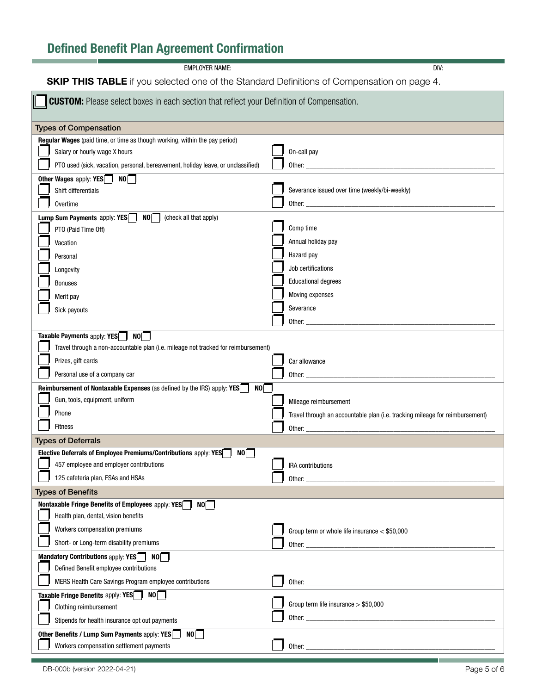# Defined Benefit Plan Agreement Confirmation

**EMPLOYER NAME:** DIV:

**SKIP THIS TABLE** if you selected one of the Standard Definitions of Compensation on page 4.

| <b>CUSTOM:</b> Please select boxes in each section that reflect your Definition of Compensation. |                                                                                                                                                                                                                                |  |  |  |
|--------------------------------------------------------------------------------------------------|--------------------------------------------------------------------------------------------------------------------------------------------------------------------------------------------------------------------------------|--|--|--|
| <b>Types of Compensation</b>                                                                     |                                                                                                                                                                                                                                |  |  |  |
| Regular Wages (paid time, or time as though working, within the pay period)                      |                                                                                                                                                                                                                                |  |  |  |
| Salary or hourly wage X hours                                                                    | On-call pay                                                                                                                                                                                                                    |  |  |  |
| PTO used (sick, vacation, personal, bereavement, holiday leave, or unclassified)                 | Other: the contract of the contract of the contract of the contract of the contract of the contract of the contract of the contract of the contract of the contract of the contract of the contract of the contract of the con |  |  |  |
| Other Wages apply: YES NO                                                                        |                                                                                                                                                                                                                                |  |  |  |
| Shift differentials                                                                              | Severance issued over time (weekly/bi-weekly)                                                                                                                                                                                  |  |  |  |
| Overtime                                                                                         |                                                                                                                                                                                                                                |  |  |  |
| Lump Sum Payments apply: YES NO   (check all that apply)                                         |                                                                                                                                                                                                                                |  |  |  |
| PTO (Paid Time Off)                                                                              | Comp time                                                                                                                                                                                                                      |  |  |  |
| Vacation                                                                                         | Annual holiday pay                                                                                                                                                                                                             |  |  |  |
| Personal                                                                                         | Hazard pay                                                                                                                                                                                                                     |  |  |  |
| Longevity                                                                                        | Job certifications                                                                                                                                                                                                             |  |  |  |
| <b>Bonuses</b>                                                                                   | <b>Educational degrees</b>                                                                                                                                                                                                     |  |  |  |
| Merit pay                                                                                        | Moving expenses                                                                                                                                                                                                                |  |  |  |
| Sick payouts                                                                                     | Severance                                                                                                                                                                                                                      |  |  |  |
|                                                                                                  | Other: $\_\$                                                                                                                                                                                                                   |  |  |  |
| Taxable Payments apply: YES NO                                                                   |                                                                                                                                                                                                                                |  |  |  |
| Travel through a non-accountable plan (i.e. mileage not tracked for reimbursement)               |                                                                                                                                                                                                                                |  |  |  |
| Prizes, gift cards                                                                               | Car allowance                                                                                                                                                                                                                  |  |  |  |
| Personal use of a company car                                                                    | Other:                                                                                                                                                                                                                         |  |  |  |
| NO<br>Reimbursement of Nontaxable Expenses (as defined by the IRS) apply: YES                    |                                                                                                                                                                                                                                |  |  |  |
| Gun, tools, equipment, uniform                                                                   | Mileage reimbursement                                                                                                                                                                                                          |  |  |  |
| Phone                                                                                            | Travel through an accountable plan (i.e. tracking mileage for reimbursement)                                                                                                                                                   |  |  |  |
| <b>Fitness</b>                                                                                   | Other:                                                                                                                                                                                                                         |  |  |  |
| <b>Types of Deferrals</b>                                                                        |                                                                                                                                                                                                                                |  |  |  |
| Elective Deferrals of Employee Premiums/Contributions apply: YES<br>NO I                         |                                                                                                                                                                                                                                |  |  |  |
| 457 employee and employer contributions                                                          | IRA contributions                                                                                                                                                                                                              |  |  |  |
| 125 cafeteria plan, FSAs and HSAs                                                                | Other:                                                                                                                                                                                                                         |  |  |  |
| <b>Types of Benefits</b>                                                                         |                                                                                                                                                                                                                                |  |  |  |
| Nontaxable Fringe Benefits of Employees apply: YES<br>NO<br>Health plan, dental, vision benefits |                                                                                                                                                                                                                                |  |  |  |
| Workers compensation premiums                                                                    |                                                                                                                                                                                                                                |  |  |  |
|                                                                                                  | Group term or whole life insurance < \$50,000                                                                                                                                                                                  |  |  |  |
| Short- or Long-term disability premiums                                                          |                                                                                                                                                                                                                                |  |  |  |
| Mandatory Contributions apply: YES NO<br>Defined Benefit employee contributions                  |                                                                                                                                                                                                                                |  |  |  |
|                                                                                                  |                                                                                                                                                                                                                                |  |  |  |
| MERS Health Care Savings Program employee contributions                                          |                                                                                                                                                                                                                                |  |  |  |
| Taxable Fringe Benefits apply: YES <sub>1</sub> NO <sub>1</sub><br>Clothing reimbursement        | Group term life insurance $> $50,000$                                                                                                                                                                                          |  |  |  |
|                                                                                                  |                                                                                                                                                                                                                                |  |  |  |
| Stipends for health insurance opt out payments                                                   |                                                                                                                                                                                                                                |  |  |  |
| Other Benefits / Lump Sum Payments apply: YES<br>NO<br>Workers compensation settlement payments  | Other:                                                                                                                                                                                                                         |  |  |  |
|                                                                                                  | <u> 1989 - Johann Barn, mars ann an t-Amhair Aonaich an t-Aonaich an t-Aonaich ann an t-Aonaich ann an t-Aonaich</u>                                                                                                           |  |  |  |